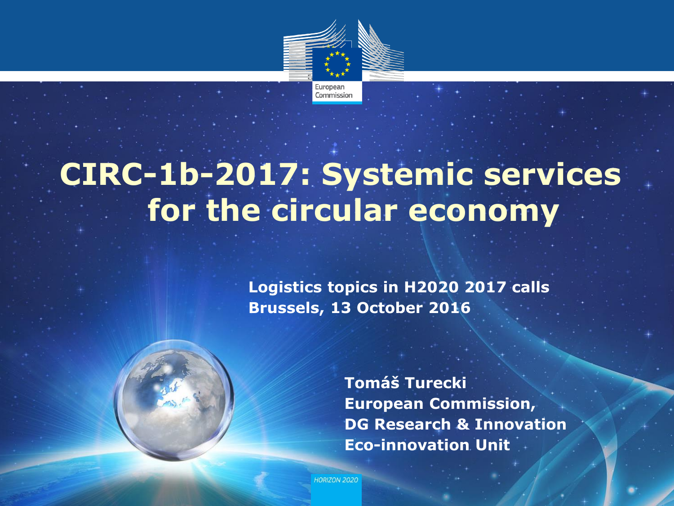

# **CIRC-1b-2017: Systemic services for the circular economy**

**Logistics topics in H2020 2017 calls Brussels, 13 October 2016**



**ORIZON 2020** *Policy Research and*

*Innovation*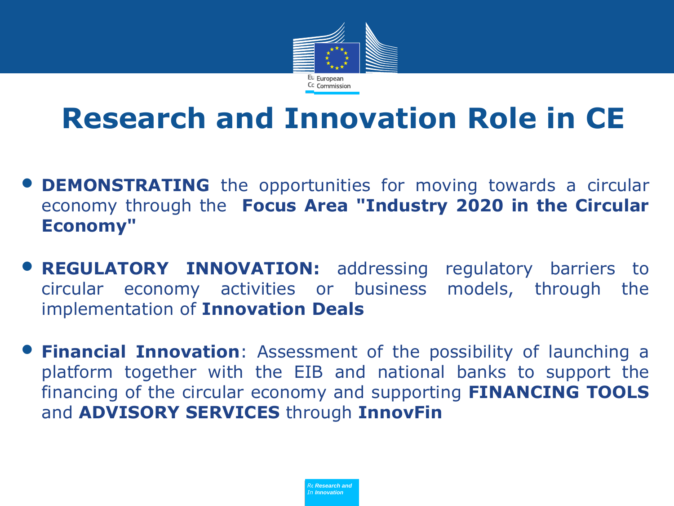

## **Research and Innovation Role in CE**

- **DEMONSTRATING** the opportunities for moving towards <sup>a</sup> circular economy through the **Focus Area "Industry 2020 in the Circular Economy"**
- **REGULATORY INNOVATION:** addressing regulatory barriers to circular economy activities or business models, through the implementation of **Innovation Deals**
- **Financial Innovation**: Assessment of the possibility of launching <sup>a</sup> platform together with the EIB and national banks to support the financing of the circular economy and supporting **FINANCING TOOLS** and **ADVISORY SERVICES** through **InnovFin**

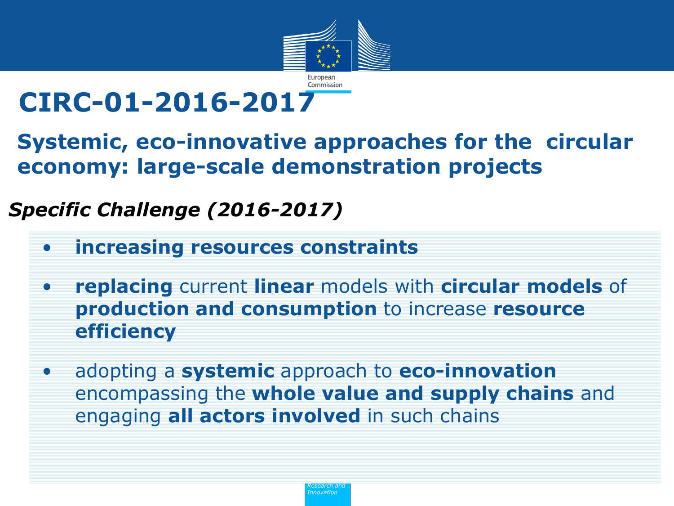

## **CIRC-01-2016-2017**

**Systemic, eco-innovative approaches for the circular economy: large-scale demonstration projects** 

#### *Specific Challenge (2016-2017)*

- **increasing resources constraints**
- **replacing** current **linear** models with **circular models** of **production and consumption** to increase **resource efficiency**
- adopting a **systemic** approach to **eco-innovation**  encompassing the **whole value and supply chains** and engaging **all actors involved** in such chains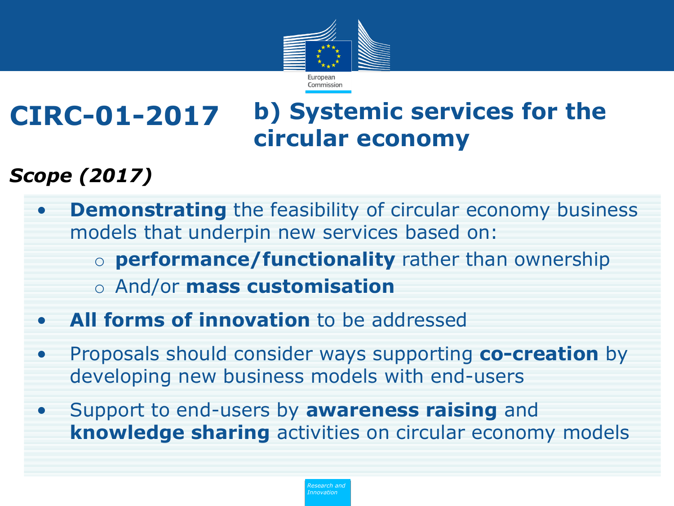

#### **b) Systemic services for the circular economy CIRC-01-2017**

### *Scope (2017)*

- **Demonstrating** the feasibility of circular economy business models that underpin new services based on:
	- o **performance/functionality** rather than ownership
	- o And/or **mass customisation**
- **All forms of innovation** to be addressed
- Proposals should consider ways supporting **co-creation** by developing new business models with end-users
- Support to end-users by **awareness raising** and **knowledge sharing** activities on circular economy models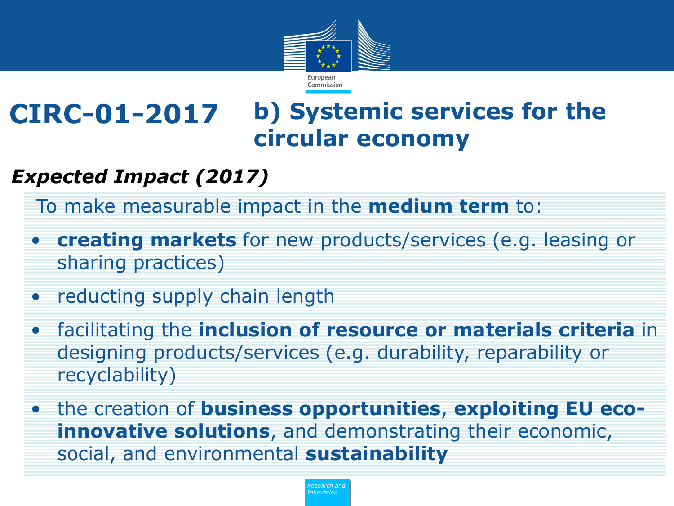

#### **CIRC-01-2017 b) Systemic services for the circular economy**

#### *Expected Impact (2017)*

To make measurable impact in the **medium term** to:

- **creating markets** for new products/services (e.g. leasing or sharing practices)
- reducting supply chain length
- facilitating the **inclusion of resource or materials criteria** in designing products/services (e.g. durability, reparability or recyclability)
- the creation of **business opportunities**, **exploiting EU ecoinnovative solutions**, and demonstrating their economic, social, and environmental **sustainability**